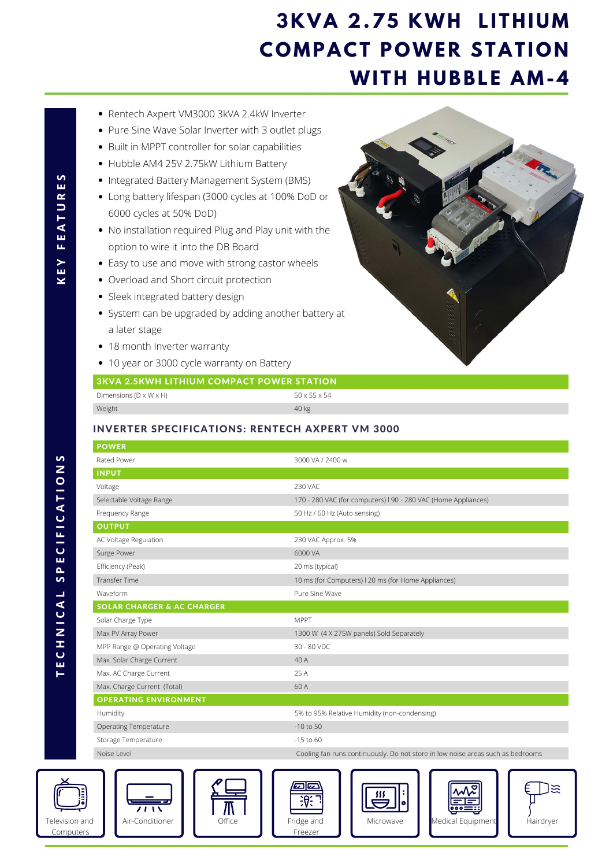- Rentech Axpert VM3000 3kVA 2.4kW Inverter
- Pure Sine Wave Solar Inverter with 3 outlet plugs
- Built in MPPT controller for solar capabilities
- Hubble AM4 25V 2.75kW Lithium Battery
- Integrated Battery Management System (BMS)
- Long battery lifespan (3000 cycles at 100% DoD or 6000 cycles at 50% DoD)
- No installation required Plug and Play unit with the option to wire it into the DB Board
- Easy to use and move with strong castor wheels
- Overload and Short circuit protection
- Sleek integrated battery design
- System can be upgraded by adding another battery at a later stage
- 18 month Inverter warranty
- 10 year or 3000 cycle warranty on Battery













## **3 K V A 2 . 7 5 K W H L I T H I U M COMPACT POWER STATION WITH HUBBLE AM-4**

| 170 - 280 VAC (for computers) I 90 - 280 VAC (Home Appliances)                  |
|---------------------------------------------------------------------------------|
|                                                                                 |
|                                                                                 |
|                                                                                 |
|                                                                                 |
|                                                                                 |
|                                                                                 |
|                                                                                 |
|                                                                                 |
|                                                                                 |
|                                                                                 |
|                                                                                 |
|                                                                                 |
|                                                                                 |
|                                                                                 |
|                                                                                 |
|                                                                                 |
|                                                                                 |
|                                                                                 |
| Cooling fan runs continuously. Do not store in low noise areas such as bedrooms |
| 55<br>Hairdryer<br>Medical Equipment                                            |
|                                                                                 |

## 3KVA 2.5KWH LITHIUM COMPACT POWER STATION

| Dimensions (D $\times$ W $\times$ H) | 50 x 55 x 54 |
|--------------------------------------|--------------|
| Weight                               | 40 kg        |

## INVERTER SPECIFICATIONS: RENTECH AXPERT VM 3000